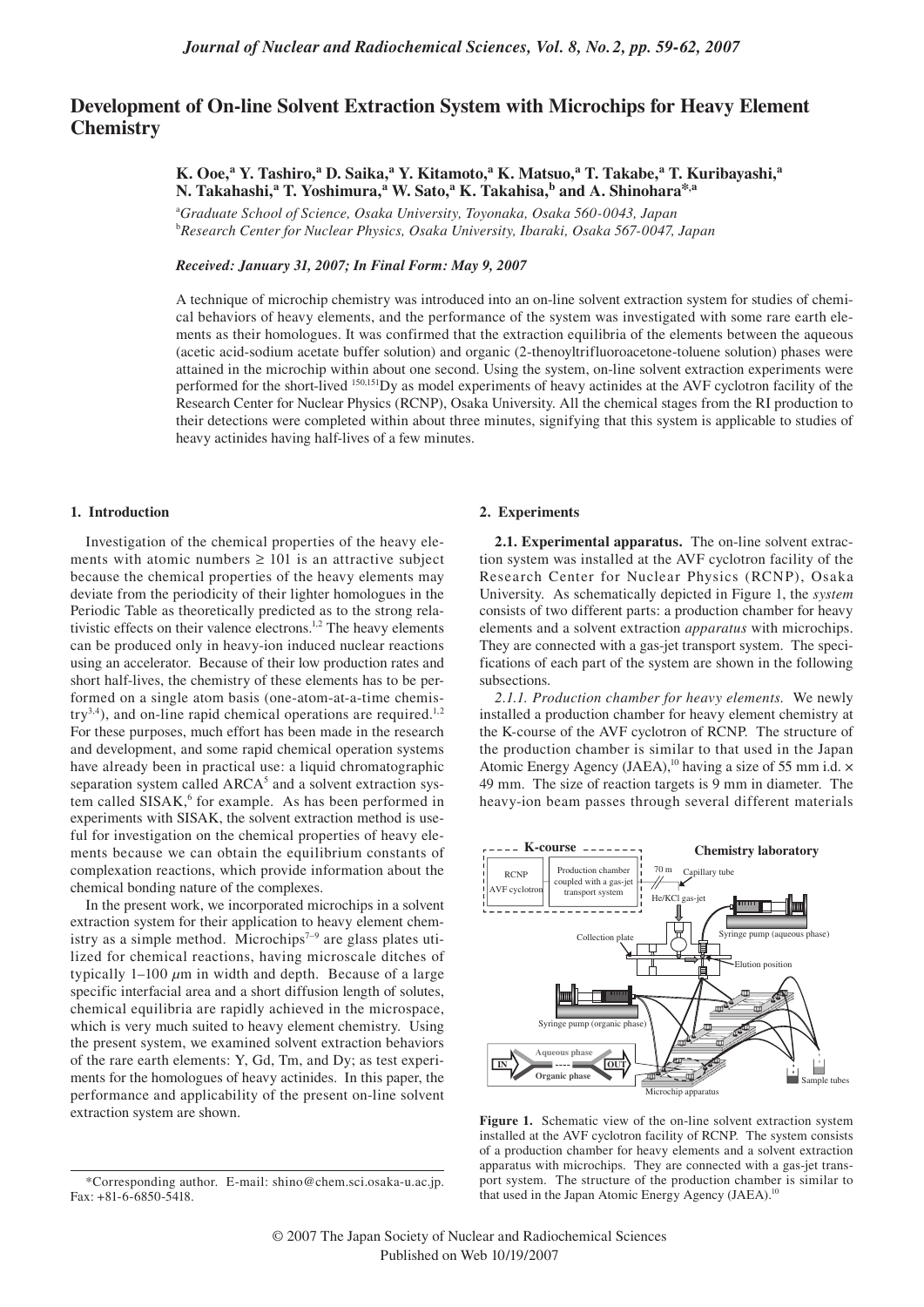# **Development of On-line Solvent Extraction System with Microchips for Heavy Element Chemistry**

**K. Ooe,<sup>a</sup> Y. Tashiro,<sup>a</sup> D. Saika,<sup>a</sup> Y. Kitamoto,<sup>a</sup> K. Matsuo,<sup>a</sup> T. Takabe,<sup>a</sup> T. Kuribayashi,<sup>a</sup> N. Takahashi,<sup>a</sup> T. Yoshimura,<sup>a</sup> W. Sato,<sup>a</sup> K. Takahisa,b and A. Shinohara\*,a**

a *Graduate School of Science, Osaka University, Toyonaka, Osaka 560-0043, Japan* b *Research Center for Nuclear Physics, Osaka University, Ibaraki, Osaka 567-0047, Japan*

*Received: January 31, 2007; In Final Form: May 9, 2007*

A technique of microchip chemistry was introduced into an on-line solvent extraction system for studies of chemical behaviors of heavy elements, and the performance of the system was investigated with some rare earth elements as their homologues. It was confirmed that the extraction equilibria of the elements between the aqueous (acetic acid-sodium acetate buffer solution) and organic (2-thenoyltrifluoroacetone-toluene solution) phases were attained in the microchip within about one second. Using the system, on-line solvent extraction experiments were performed for the short-lived 150,151Dy as model experiments of heavy actinides at the AVF cyclotron facility of the Research Center for Nuclear Physics (RCNP), Osaka University. All the chemical stages from the RI production to their detections were completed within about three minutes, signifying that this system is applicable to studies of heavy actinides having half-lives of a few minutes.

### **1. Introduction**

Investigation of the chemical properties of the heavy elements with atomic numbers  $\geq 101$  is an attractive subject because the chemical properties of the heavy elements may deviate from the periodicity of their lighter homologues in the Periodic Table as theoretically predicted as to the strong relativistic effects on their valence electrons.<sup>1,2</sup> The heavy elements can be produced only in heavy-ion induced nuclear reactions using an accelerator. Because of their low production rates and short half-lives, the chemistry of these elements has to be performed on a single atom basis (one-atom-at-a-time chemis $try^{3,4}$ ), and on-line rapid chemical operations are required.<sup>1,2</sup> For these purposes, much effort has been made in the research and development, and some rapid chemical operation systems have already been in practical use: a liquid chromatographic separation system called  $ARCA<sup>5</sup>$  and a solvent extraction system called SISAK,<sup>6</sup> for example. As has been performed in experiments with SISAK, the solvent extraction method is useful for investigation on the chemical properties of heavy elements because we can obtain the equilibrium constants of complexation reactions, which provide information about the chemical bonding nature of the complexes.

In the present work, we incorporated microchips in a solvent extraction system for their application to heavy element chemistry as a simple method. Microchips<sup>7-9</sup> are glass plates utilized for chemical reactions, having microscale ditches of typically 1–100 *µ*m in width and depth. Because of a large specific interfacial area and a short diffusion length of solutes, chemical equilibria are rapidly achieved in the microspace, which is very much suited to heavy element chemistry. Using the present system, we examined solvent extraction behaviors of the rare earth elements: Y, Gd, Tm, and Dy; as test experiments for the homologues of heavy actinides. In this paper, the performance and applicability of the present on-line solvent extraction system are shown.

## **2. Experiments**

**2.1. Experimental apparatus.** The on-line solvent extraction system was installed at the AVF cyclotron facility of the Research Center for Nuclear Physics (RCNP), Osaka University. As schematically depicted in Figure 1, the *system* consists of two different parts: a production chamber for heavy elements and a solvent extraction *apparatus* with microchips. They are connected with a gas-jet transport system. The specifications of each part of the system are shown in the following subsections.

*2.1.1. Production chamber for heavy elements.* We newly installed a production chamber for heavy element chemistry at the K-course of the AVF cyclotron of RCNP. The structure of the production chamber is similar to that used in the Japan Atomic Energy Agency (JAEA),<sup>10</sup> having a size of 55 mm i.d.  $\times$ 49 mm. The size of reaction targets is 9 mm in diameter. The heavy-ion beam passes through several different materials



Figure 1. Schematic view of the on-line solvent extraction system installed at the AVF cyclotron facility of RCNP. The system consists of a production chamber for heavy elements and a solvent extraction apparatus with microchips. They are connected with a gas-jet transport system. The structure of the production chamber is similar to

<sup>\*</sup>Corresponding author. E-mail: shino@chem.sci.osaka-u.ac.jp. port system. The structure of the production chambe that used in the Japan Atomic Energy Agency (JAEA).<sup>10</sup> \* Fax: +81-6-6850-5418.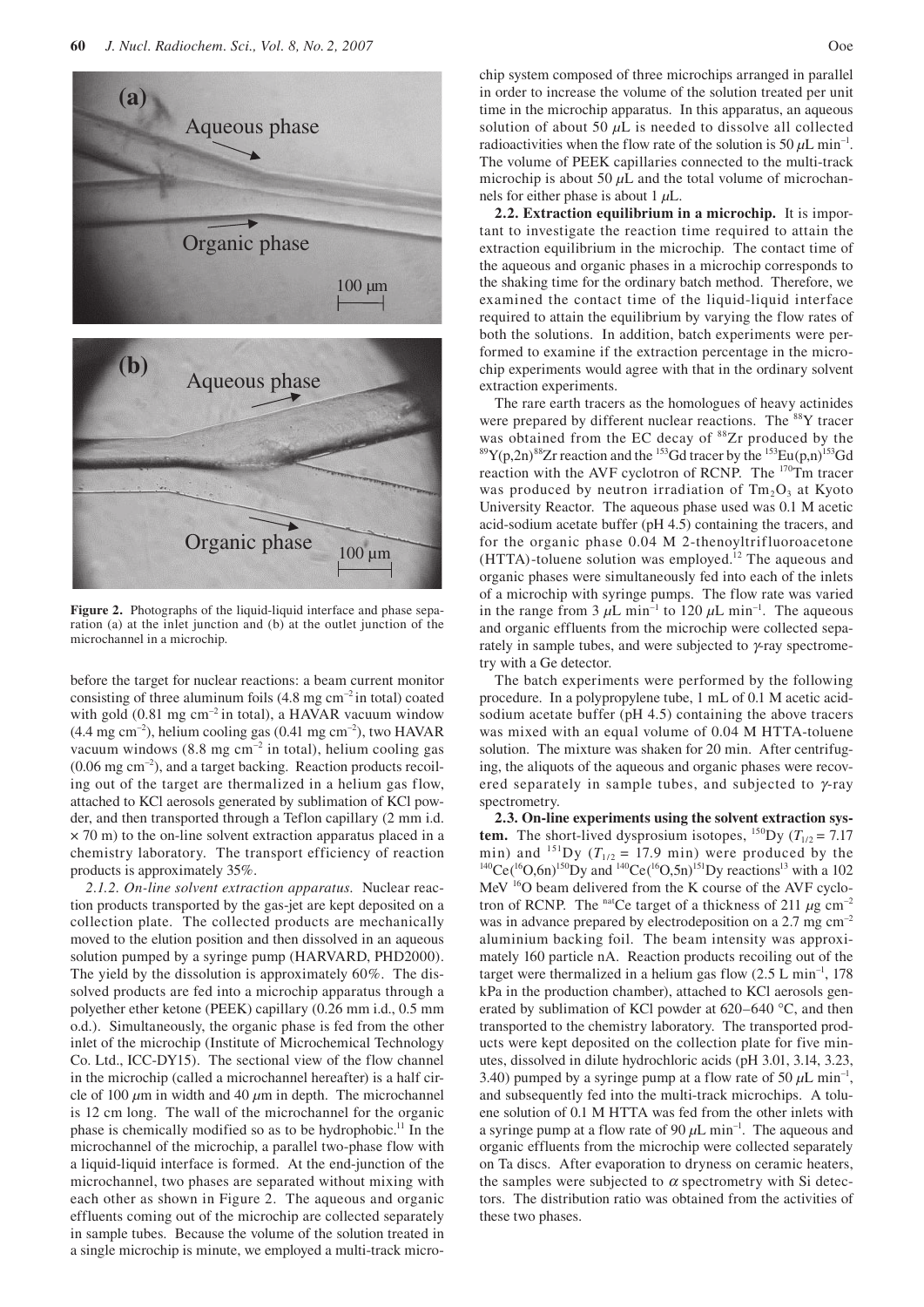

**Figure 2.** Photographs of the liquid-liquid interface and phase separation (a) at the inlet junction and (b) at the outlet junction of the microchannel in a microchip.

before the target for nuclear reactions: a beam current monitor consisting of three aluminum foils  $(4.8 \text{ mg cm}^{-2} \text{ in total})$  coated with gold  $(0.81 \text{ mg cm}^{-2} \text{ in total})$ , a HAVAR vacuum window  $(4.4 \text{ mg cm}^{-2})$ , helium cooling gas  $(0.41 \text{ mg cm}^{-2})$ , two HAVAR vacuum windows  $(8.8 \text{ mg cm}^{-2} \text{ in total})$ , helium cooling gas  $(0.06 \text{ mg cm}^{-2})$ , and a target backing. Reaction products recoiling out of the target are thermalized in a helium gas flow, attached to KCl aerosols generated by sublimation of KCl powder, and then transported through a Teflon capillary (2 mm i.d.  $\times$  70 m) to the on-line solvent extraction apparatus placed in a chemistry laboratory. The transport efficiency of reaction products is approximately 35%.

*2.1.2. On-line solvent extraction apparatus.* Nuclear reaction products transported by the gas-jet are kept deposited on a collection plate. The collected products are mechanically moved to the elution position and then dissolved in an aqueous solution pumped by a syringe pump (HARVARD, PHD2000). The yield by the dissolution is approximately 60%. The dissolved products are fed into a microchip apparatus through a polyether ether ketone (PEEK) capillary (0.26 mm i.d., 0.5 mm o.d.). Simultaneously, the organic phase is fed from the other inlet of the microchip (Institute of Microchemical Technology Co. Ltd., ICC-DY15). The sectional view of the flow channel in the microchip (called a microchannel hereafter) is a half circle of 100 *µ*m in width and 40 *µ*m in depth. The microchannel is 12 cm long. The wall of the microchannel for the organic phase is chemically modified so as to be hydrophobic.<sup>11</sup> In the microchannel of the microchip, a parallel two-phase flow with a liquid-liquid interface is formed. At the end-junction of the microchannel, two phases are separated without mixing with each other as shown in Figure 2. The aqueous and organic effluents coming out of the microchip are collected separately in sample tubes. Because the volume of the solution treated in a single microchip is minute, we employed a multi-track microchip system composed of three microchips arranged in parallel in order to increase the volume of the solution treated per unit time in the microchip apparatus. In this apparatus, an aqueous solution of about 50  $\mu$ L is needed to dissolve all collected radioactivities when the flow rate of the solution is 50  $\mu$ L min<sup>-1</sup>. The volume of PEEK capillaries connected to the multi-track microchip is about 50  $\mu$ L and the total volume of microchannels for either phase is about 1 *µ*L.

**2.2. Extraction equilibrium in a microchip.** It is important to investigate the reaction time required to attain the extraction equilibrium in the microchip. The contact time of the aqueous and organic phases in a microchip corresponds to the shaking time for the ordinary batch method. Therefore, we examined the contact time of the liquid-liquid interface required to attain the equilibrium by varying the flow rates of both the solutions. In addition, batch experiments were performed to examine if the extraction percentage in the microchip experiments would agree with that in the ordinary solvent extraction experiments.

The rare earth tracers as the homologues of heavy actinides were prepared by different nuclear reactions. The <sup>88</sup>Y tracer was obtained from the EC decay of  ${}^{88}Zr$  produced by the  ${}^{89}Y(p,2n)^{88}Zr$  reaction and the  ${}^{153}Gd$  tracer by the  ${}^{153}Eu(p,n)^{153}Gd$ reaction with the AVF cyclotron of RCNP. The 170Tm tracer was produced by neutron irradiation of  $Tm<sub>2</sub>O<sub>3</sub>$  at Kyoto University Reactor. The aqueous phase used was 0.1 M acetic acid-sodium acetate buffer (pH 4.5) containing the tracers, and for the organic phase 0.04 M 2-thenoyltrifluoroacetone  $(HTTA)$ -toluene solution was employed.<sup>12</sup> The aqueous and organic phases were simultaneously fed into each of the inlets of a microchip with syringe pumps. The flow rate was varied in the range from  $3 \mu L \text{ min}^{-1}$  to  $120 \mu L \text{ min}^{-1}$ . The aqueous and organic effluents from the microchip were collected separately in sample tubes, and were subjected to γ-ray spectrometry with a Ge detector.

The batch experiments were performed by the following procedure. In a polypropylene tube, 1 mL of 0.1 M acetic acidsodium acetate buffer (pH 4.5) containing the above tracers was mixed with an equal volume of 0.04 M HTTA-toluene solution. The mixture was shaken for 20 min. After centrifuging, the aliquots of the aqueous and organic phases were recovered separately in sample tubes, and subjected to  $\gamma$ -ray spectrometry.

**2.3. On-line experiments using the solvent extraction system.** The short-lived dysprosium isotopes,  $^{150}$ Dy ( $T_{1/2} = 7.17$ ) min) and <sup>151</sup>Dy ( $T_{1/2} = 17.9$  min) were produced by the <sup>140</sup>Ce(<sup>16</sup>O,6n)<sup>151</sup>Dy reactions<sup>13</sup> with a 102 MeV <sup>16</sup>O beam delivered from the K course of the AVF cyclotron of RCNP. The <sup>nat</sup>Ce target of a thickness of 211  $\mu$ g cm<sup>-2</sup> was in advance prepared by electrodeposition on a 2.7 mg cm<sup>-2</sup> aluminium backing foil. The beam intensity was approximately 160 particle nA. Reaction products recoiling out of the target were thermalized in a helium gas flow  $(2.5 \text{ L min}^{-1}, 178 \text{ L})$ kPa in the production chamber), attached to KCl aerosols generated by sublimation of KCl powder at 620–640 °C, and then transported to the chemistry laboratory. The transported products were kept deposited on the collection plate for five minutes, dissolved in dilute hydrochloric acids (pH 3.01, 3.14, 3.23, 3.40) pumped by a syringe pump at a flow rate of 50  $\mu$ L min<sup>-1</sup>, and subsequently fed into the multi-track microchips. A toluene solution of 0.1 M HTTA was fed from the other inlets with a syringe pump at a flow rate of 90  $\mu$ L min<sup>-1</sup>. The aqueous and organic effluents from the microchip were collected separately on Ta discs. After evaporation to dryness on ceramic heaters, the samples were subjected to  $\alpha$  spectrometry with Si detectors. The distribution ratio was obtained from the activities of these two phases.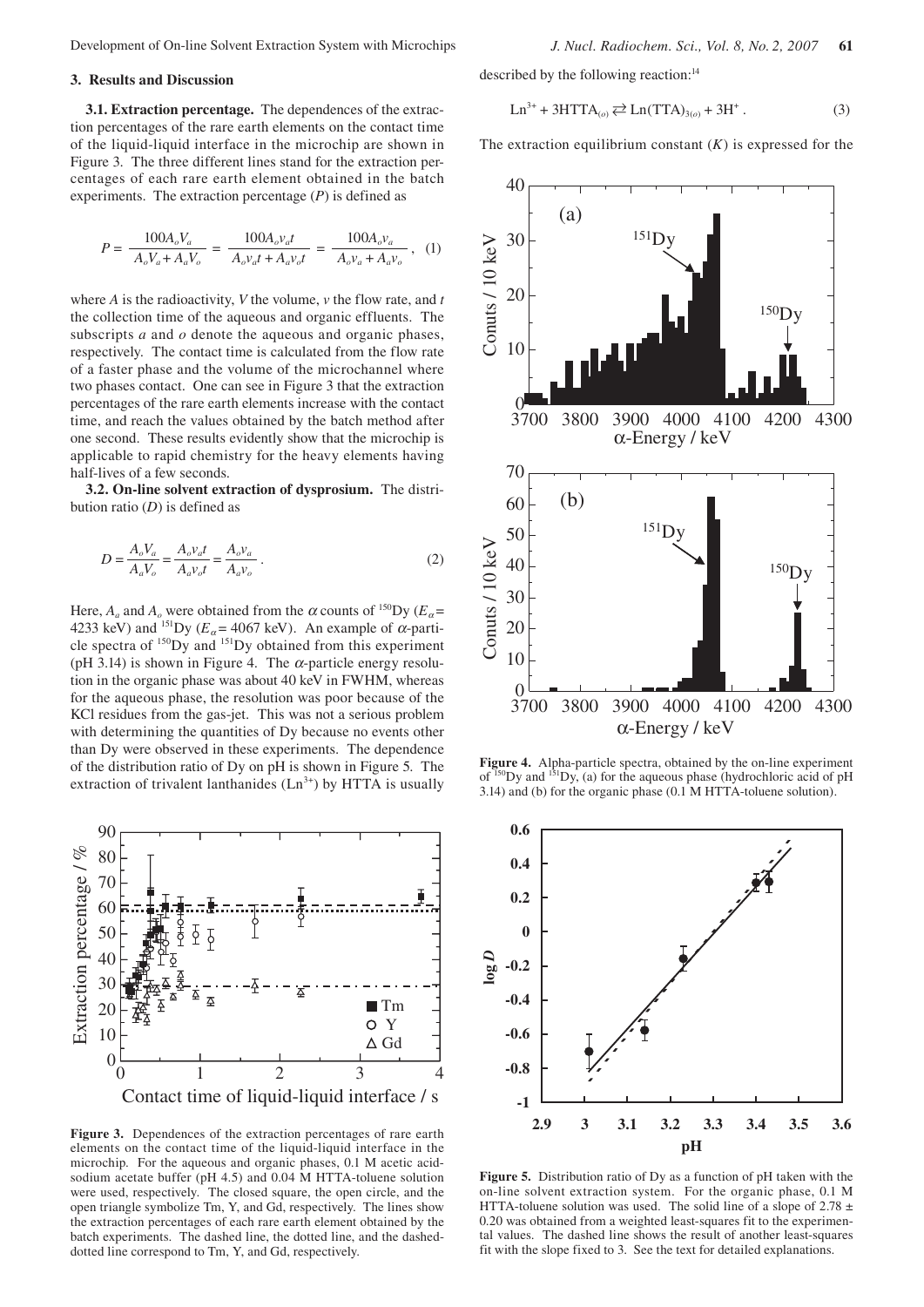Development of On-line Solvent Extraction System with Microchips *J. Nucl. Radiochem. Sci., Vol. 8, No. 2, 2007* **61**

#### **3. Results and Discussion**

**3.1. Extraction percentage.** The dependences of the extraction percentages of the rare earth elements on the contact time of the liquid-liquid interface in the microchip are shown in Figure 3. The three different lines stand for the extraction percentages of each rare earth element obtained in the batch experiments. The extraction percentage  $(P)$  is defined as

$$
P = \frac{100A_oV_a}{A_oV_a + A_aV_o} = \frac{100A_ov_a t}{A_ov_a t + A_a v_o t} = \frac{100A_ov_a}{A_ov_a + A_a v_o},
$$
 (1)

where *A* is the radioactivity, *V* the volume, *v* the flow rate, and *t* the collection time of the aqueous and organic effluents. The subscripts *a* and *o* denote the aqueous and organic phases, respectively. The contact time is calculated from the flow rate of a faster phase and the volume of the microchannel where two phases contact. One can see in Figure 3 that the extraction percentages of the rare earth elements increase with the contact time, and reach the values obtained by the batch method after one second. These results evidently show that the microchip is applicable to rapid chemistry for the heavy elements having half-lives of a few seconds.

**3.2. On-line solvent extraction of dysprosium.** The distribution ratio (*D*) is defined as

$$
D = \frac{A_o V_a}{A_a V_o} = \frac{A_o v_a t}{A_a v_o t} = \frac{A_o v_a}{A_a v_o} \tag{2}
$$

Here,  $A_a$  and  $A_o$  were obtained from the  $\alpha$  counts of <sup>150</sup>Dy ( $E_a$  = 4233 keV) and <sup>151</sup>Dy ( $E_\alpha$  = 4067 keV). An example of  $\alpha$ -particle spectra of 150Dy and 151Dy obtained from this experiment (pH 3.14) is shown in Figure 4. The  $\alpha$ -particle energy resolution in the organic phase was about 40 keV in FWHM, whereas for the aqueous phase, the resolution was poor because of the KCl residues from the gas-jet. This was not a serious problem with determining the quantities of Dy because no events other than Dy were observed in these experiments. The dependence of the distribution ratio of Dy on pH is shown in Figure 5. The extraction of trivalent lanthanides  $(Ln^{3+})$  by HTTA is usually



**Figure 3.** Dependences of the extraction percentages of rare earth elements on the contact time of the liquid-liquid interface in the microchip. For the aqueous and organic phases, 0.1 M acetic acidsodium acetate buffer (pH 4.5) and 0.04 M HTTA-toluene solution were used, respectively. The closed square, the open circle, and the open triangle symbolize Tm, Y, and Gd, respectively. The lines show the extraction percentages of each rare earth element obtained by the batch experiments. The dashed line, the dotted line, and the dasheddotted line correspond to Tm, Y, and Gd, respectively.

described by the following reaction: $14$ 

$$
Ln^{3+} + 3HTTA_{(o)} \rightleftarrows Ln(TTA)_{3(o)} + 3H^+ \,. \tag{3}
$$

The extraction equilibrium constant  $(K)$  is expressed for the



**Figure 4.** Alpha-particle spectra, obtained by the on-line experiment of  $^{150}$ Dy and  $^{151}$ Dy, (a) for the aqueous phase (hydrochloric acid of pH 3.14) and (b) for the organic phase (0.1 M HTTA-toluene solution).



**Figure 5.** Distribution ratio of Dy as a function of pH taken with the on-line solvent extraction system. For the organic phase, 0.1 M HTTA-toluene solution was used. The solid line of a slope of  $2.78 \pm$ 0.20 was obtained from a weighted least-squares fit to the experimental values. The dashed line shows the result of another least-squares fit with the slope fixed to 3. See the text for detailed explanations.